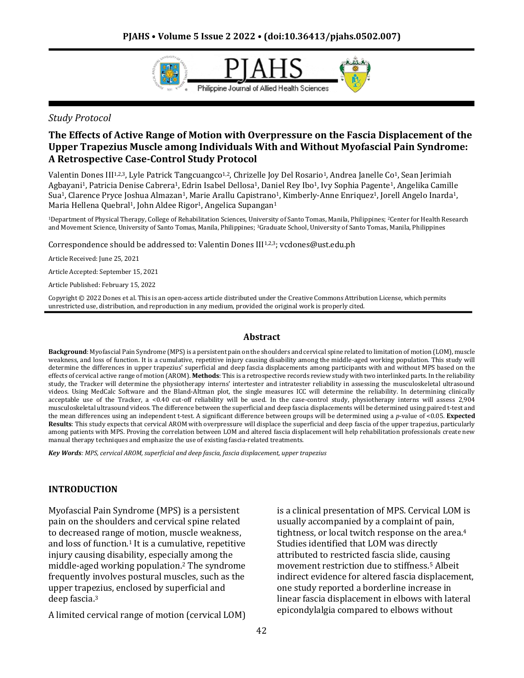

## *Study Protocol*

# **The Effects of Active Range of Motion with Overpressure on the Fascia Displacement of the Upper Trapezius Muscle among Individuals With and Without Myofascial Pain Syndrome: A Retrospective Case-Control Study Protocol**

Valentin Dones III<sup>1,2,3</sup>, Lyle Patrick Tangcuangco<sup>1,2</sup>, Chrizelle Joy Del Rosario<sup>1</sup>, Andrea Janelle Co<sup>1</sup>, Sean Jerimiah Agbayani1, Patricia Denise Cabrera1, Edrin Isabel Dellosa1, Daniel Rey Ibo1, Ivy Sophia Pagente1, Angelika Camille Sua<sup>1</sup>, Clarence Pryce Joshua Almazan<sup>1</sup>, Marie Arallu Capistrano<sup>1</sup>, Kimberly-Anne Enriquez<sup>1</sup>, Jorell Angelo Inarda<sup>1</sup>, Maria Hellena Quebral<sup>1</sup>, John Aldee Rigor<sup>1</sup>, Angelica Supangan<sup>1</sup>

<sup>1</sup>Department of Physical Therapy, College of Rehabilitation Sciences, University of Santo Tomas, Manila, Philippines; 2Center for Health Research and Movement Science, University of Santo Tomas, Manila, Philippines; <sup>3</sup>Graduate School, University of Santo Tomas, Manila, Philippines

Correspondence should be addressed to: Valentin Dones III<sup>1,2,3</sup>; vcdones@ust.edu.ph

Article Received: June 25, 2021

Article Accepted: September 15, 2021

Article Published: February 15, 2022

Copyright © 2022 Dones et al. This is an open-access article distributed under the Creative Commons Attribution License, which permits unrestricted use, distribution, and reproduction in any medium, provided the original work is properly cited.

## **Abstract**

**Background**: Myofascial Pain Syndrome (MPS) is a persistent pain on the shoulders and cervical spine related to limitation of motion (LOM), muscle weakness, and loss of function. It is a cumulative, repetitive injury causing disability among the middle-aged working population. This study will determine the differences in upper trapezius' superficial and deep fascia displacements among participants with and without MPS based on the effects of cervical active range of motion (AROM). **Methods**: This is a retrospective records review study with two interlinked parts. In the reliability study, the Tracker will determine the physiotherapy interns' intertester and intratester reliability in assessing the musculoskeletal ultrasound videos. Using MedCalc Software and the Bland-Altman plot, the single measures ICC will determine the reliability. In determining clinically acceptable use of the Tracker, a <0.40 cut-off reliability will be used. In the case-control study, physiotherapy interns will assess 2,904 musculoskeletal ultrasound videos. The difference between the superficial and deep fascia displacements will be determined using paired t-test and the mean differences using an independent t-test. A significant difference between groups will be determined using a *p*-value of <0.05. **Expected Results**: This study expects that cervical AROM with overpressure will displace the superficial and deep fascia of the upper trapezius, particularly among patients with MPS. Proving the correlation between LOM and altered fascia displacement will help rehabilitation professionals create new manual therapy techniques and emphasize the use of existing fascia-related treatments.

*Key Words: MPS, cervical AROM, superficial and deep fascia, fascia displacement, upper trapezius*

## **INTRODUCTION**

Myofascial Pain Syndrome (MPS) is a persistent pain on the shoulders and cervical spine related to decreased range of motion, muscle weakness, and loss of function.<sup>1</sup> It is a cumulative, repetitive injury causing disability, especially among the middle-aged working population.<sup>2</sup> The syndrome frequently involves postural muscles, such as the upper trapezius, enclosed by superficial and deep fascia.<sup>3</sup>

A limited cervical range of motion (cervical LOM)

is a clinical presentation of MPS. Cervical LOM is usually accompanied by a complaint of pain, tightness, or local twitch response on the area.<sup>4</sup> Studies identified that LOM was directly attributed to restricted fascia slide, causing movement restriction due to stiffness.<sup>5</sup> Albeit indirect evidence for altered fascia displacement, one study reported a borderline increase in linear fascia displacement in elbows with lateral epicondylalgia compared to elbows without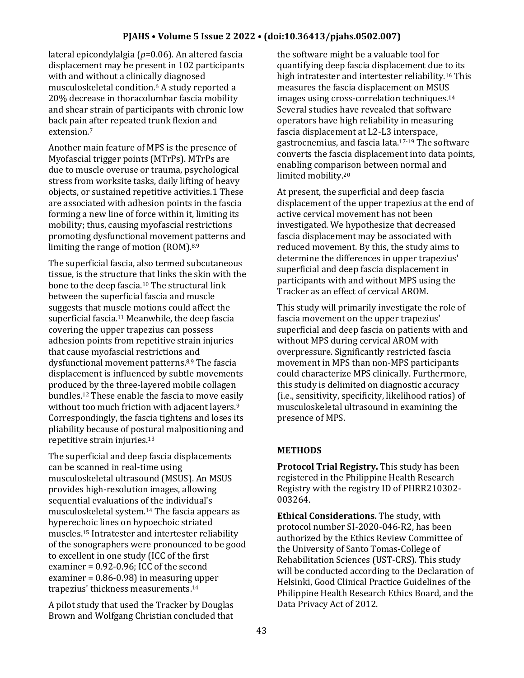lateral epicondylalgia (*p*=0.06). An altered fascia displacement may be present in 102 participants with and without a clinically diagnosed musculoskeletal condition.<sup>6</sup> A study reported a 20% decrease in thoracolumbar fascia mobility and shear strain of participants with chronic low back pain after repeated trunk flexion and extension.<sup>7</sup>

Another main feature of MPS is the presence of Myofascial trigger points (MTrPs). MTrPs are due to muscle overuse or trauma, psychological stress from worksite tasks, daily lifting of heavy objects, or sustained repetitive activities.1 These are associated with adhesion points in the fascia forming a new line of force within it, limiting its mobility; thus, causing myofascial restrictions promoting dysfunctional movement patterns and limiting the range of motion (ROM).8,9

The superficial fascia, also termed subcutaneous tissue, is the structure that links the skin with the bone to the deep fascia.<sup>10</sup> The structural link between the superficial fascia and muscle suggests that muscle motions could affect the superficial fascia.<sup>11</sup> Meanwhile, the deep fascia covering the upper trapezius can possess adhesion points from repetitive strain injuries that cause myofascial restrictions and dysfunctional movement patterns.8,9 The fascia displacement is influenced by subtle movements produced by the three-layered mobile collagen bundles.<sup>12</sup> These enable the fascia to move easily without too much friction with adjacent layers.<sup>9</sup> Correspondingly, the fascia tightens and loses its pliability because of postural malpositioning and repetitive strain injuries.<sup>13</sup>

The superficial and deep fascia displacements can be scanned in real-time using musculoskeletal ultrasound (MSUS). An MSUS provides high-resolution images, allowing sequential evaluations of the individual's musculoskeletal system.<sup>14</sup> The fascia appears as hyperechoic lines on hypoechoic striated muscles.<sup>15</sup> Intratester and intertester reliability of the sonographers were pronounced to be good to excellent in one study (ICC of the first examiner = 0.92-0.96; ICC of the second examiner = 0.86-0.98) in measuring upper trapezius' thickness measurements.<sup>14</sup>

A pilot study that used the Tracker by Douglas Brown and Wolfgang Christian concluded that the software might be a valuable tool for quantifying deep fascia displacement due to its high intratester and intertester reliability.<sup>16</sup> This measures the fascia displacement on MSUS images using cross-correlation techniques.<sup>14</sup> Several studies have revealed that software operators have high reliability in measuring fascia displacement at L2-L3 interspace, gastrocnemius, and fascia lata.17-19 The software converts the fascia displacement into data points, enabling comparison between normal and limited mobility.<sup>20</sup>

At present, the superficial and deep fascia displacement of the upper trapezius at the end of active cervical movement has not been investigated. We hypothesize that decreased fascia displacement may be associated with reduced movement. By this, the study aims to determine the differences in upper trapezius' superficial and deep fascia displacement in participants with and without MPS using the Tracker as an effect of cervical AROM.

This study will primarily investigate the role of fascia movement on the upper trapezius' superficial and deep fascia on patients with and without MPS during cervical AROM with overpressure. Significantly restricted fascia movement in MPS than non-MPS participants could characterize MPS clinically. Furthermore, this study is delimited on diagnostic accuracy (i.e., sensitivity, specificity, likelihood ratios) of musculoskeletal ultrasound in examining the presence of MPS.

## **METHODS**

**Protocol Trial Registry.** This study has been registered in the Philippine Health Research Registry with the registry ID of PHRR210302- 003264.

**Ethical Considerations.** The study, with protocol number SI-2020-046-R2, has been authorized by the Ethics Review Committee of the University of Santo Tomas-College of Rehabilitation Sciences (UST-CRS). This study will be conducted according to the Declaration of Helsinki, Good Clinical Practice Guidelines of the Philippine Health Research Ethics Board, and the Data Privacy Act of 2012.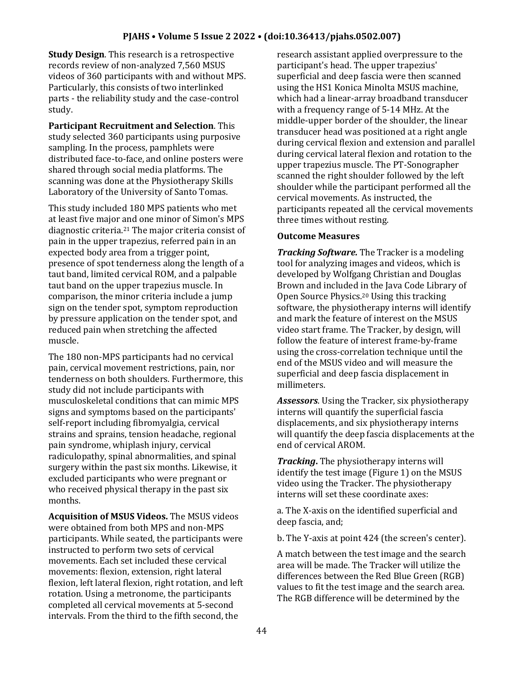**Study Design**. This research is a retrospective records review of non-analyzed 7,560 MSUS videos of 360 participants with and without MPS. Particularly, this consists of two interlinked parts - the reliability study and the case-control study.

**Participant Recruitment and Selection**. This study selected 360 participants using purposive sampling. In the process, pamphlets were distributed face-to-face, and online posters were shared through social media platforms. The scanning was done at the Physiotherapy Skills Laboratory of the University of Santo Tomas.

This study included 180 MPS patients who met at least five major and one minor of Simon's MPS diagnostic criteria.<sup>21</sup> The major criteria consist of pain in the upper trapezius, referred pain in an expected body area from a trigger point, presence of spot tenderness along the length of a taut band, limited cervical ROM, and a palpable taut band on the upper trapezius muscle. In comparison, the minor criteria include a jump sign on the tender spot, symptom reproduction by pressure application on the tender spot, and reduced pain when stretching the affected muscle.

The 180 non-MPS participants had no cervical pain, cervical movement restrictions, pain, nor tenderness on both shoulders. Furthermore, this study did not include participants with musculoskeletal conditions that can mimic MPS signs and symptoms based on the participants' self-report including fibromyalgia, cervical strains and sprains, tension headache, regional pain syndrome, whiplash injury, cervical radiculopathy, spinal abnormalities, and spinal surgery within the past six months. Likewise, it excluded participants who were pregnant or who received physical therapy in the past six months.

**Acquisition of MSUS Videos.** The MSUS videos were obtained from both MPS and non-MPS participants. While seated, the participants were instructed to perform two sets of cervical movements. Each set included these cervical movements: flexion, extension, right lateral flexion, left lateral flexion, right rotation, and left rotation. Using a metronome, the participants completed all cervical movements at 5-second intervals. From the third to the fifth second, the

research assistant applied overpressure to the participant's head. The upper trapezius' superficial and deep fascia were then scanned using the HS1 Konica Minolta MSUS machine, which had a linear-array broadband transducer with a frequency range of 5-14 MHz. At the middle-upper border of the shoulder, the linear transducer head was positioned at a right angle during cervical flexion and extension and parallel during cervical lateral flexion and rotation to the upper trapezius muscle. The PT-Sonographer scanned the right shoulder followed by the left shoulder while the participant performed all the cervical movements. As instructed, the participants repeated all the cervical movements three times without resting.

#### **Outcome Measures**

*Tracking Software.* The Tracker is a modeling tool for analyzing images and videos, which is developed by Wolfgang Christian and Douglas Brown and included in the Java Code Library of Open Source Physics.<sup>20</sup> Using this tracking software, the physiotherapy interns will identify and mark the feature of interest on the MSUS video start frame. The Tracker, by design, will follow the feature of interest frame-by-frame using the cross-correlation technique until the end of the MSUS video and will measure the superficial and deep fascia displacement in millimeters.

*Assessors*. Using the Tracker, six physiotherapy interns will quantify the superficial fascia displacements, and six physiotherapy interns will quantify the deep fascia displacements at the end of cervical AROM.

*Tracking***.** The physiotherapy interns will identify the test image (Figure 1) on the MSUS video using the Tracker. The physiotherapy interns will set these coordinate axes:

a. The X-axis on the identified superficial and deep fascia, and;

b. The Y-axis at point 424 (the screen's center).

A match between the test image and the search area will be made. The Tracker will utilize the differences between the Red Blue Green (RGB) values to fit the test image and the search area. The RGB difference will be determined by the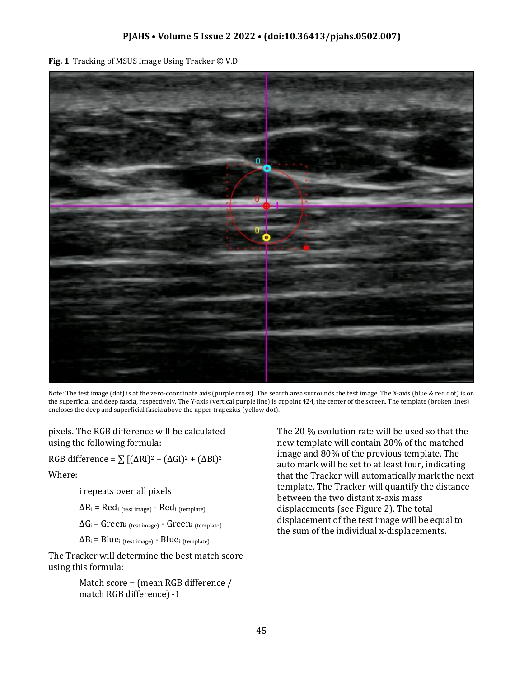**Fig. 1**. Tracking of MSUS Image Using Tracker © V.D.



Note: The test image (dot) is at the zero-coordinate axis (purple cross). The search area surrounds the test image. The X-axis (blue & red dot) is on the superficial and deep fascia, respectively. The Y-axis (vertical purple line) is at point 424, the center of the screen. The template (broken lines) encloses the deep and superficial fascia above the upper trapezius (yellow dot).

pixels. The RGB difference will be calculated using the following formula:

RGB difference =  $\sum$  [( $\Delta$ Ri)<sup>2</sup> + ( $\Delta$ Gi)<sup>2</sup> + ( $\Delta$ Bi)<sup>2</sup>

Where:

i repeats over all pixels

 $\Delta R_i$  = Red<sub>i (test image)</sub> - Red<sub>i (template)</sub>

 $\Delta G_i$  = Green<sub>i (test image)</sub> - Green<sub>i (template)</sub>

 $\Delta B_i$  = Blue<sub>i</sub> (test image) - Blue<sub>i</sub> (template)

The Tracker will determine the best match score using this formula:

> Match score = (mean RGB difference / match RGB difference) -1

The 20 % evolution rate will be used so that the new template will contain 20% of the matched image and 80% of the previous template. The auto mark will be set to at least four, indicating that the Tracker will automatically mark the next template. The Tracker will quantify the distance between the two distant x-axis mass displacements (see Figure 2). The total displacement of the test image will be equal to the sum of the individual x-displacements.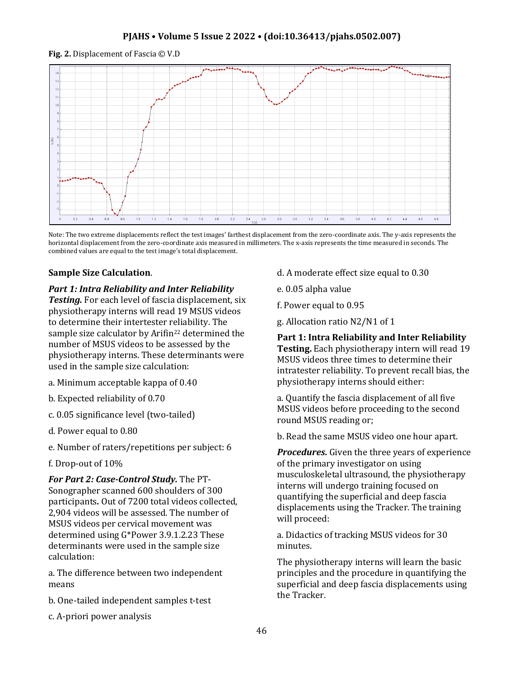**Fig. 2.** Displacement of Fascia © V.D



Note: The two extreme displacements reflect the test images' farthest displacement from the zero-coordinate axis. The y-axis represents the horizontal displacement from the zero-coordinate axis measured in millimeters. The x-axis represents the time measured in seconds. The combined values are equal to the test image's total displacement.

# **Sample Size Calculation**.

# *Part 1: Intra Reliability and Inter Reliability*

*Testing.* For each level of fascia displacement, six physiotherapy interns will read 19 MSUS videos to determine their intertester reliability. The sample size calculator by Arifin<sup>22</sup> determined the number of MSUS videos to be assessed by the physiotherapy interns. These determinants were used in the sample size calculation:

- a. Minimum acceptable kappa of 0.40
- b. Expected reliability of 0.70
- c. 0.05 significance level (two-tailed)
- d. Power equal to 0.80
- e. Number of raters/repetitions per subject: 6
- f. Drop-out of 10%

*For Part 2: Case-Control Study.* The PT-Sonographer scanned 600 shoulders of 300 participants*.* Out of 7200 total videos collected, 2,904 videos will be assessed. The number of MSUS videos per cervical movement was determined using G\*Power 3.9.1.2.23 These determinants were used in the sample size calculation:

a. The difference between two independent means

- b. One-tailed independent samples t-test
- c. A-priori power analysis
- d. A moderate effect size equal to 0.30
- e. 0.05 alpha value
- f. Power equal to 0.95
- g. Allocation ratio N2/N1 of 1

**Part 1: Intra Reliability and Inter Reliability Testing.** Each physiotherapy intern will read 19 MSUS videos three times to determine their intratester reliability. To prevent recall bias, the physiotherapy interns should either:

a. Quantify the fascia displacement of all five MSUS videos before proceeding to the second round MSUS reading or;

b. Read the same MSUS video one hour apart.

*Procedures.* Given the three years of experience of the primary investigator on using musculoskeletal ultrasound, the physiotherapy interns will undergo training focused on quantifying the superficial and deep fascia displacements using the Tracker. The training will proceed:

a. Didactics of tracking MSUS videos for 30 minutes.

The physiotherapy interns will learn the basic principles and the procedure in quantifying the superficial and deep fascia displacements using the Tracker.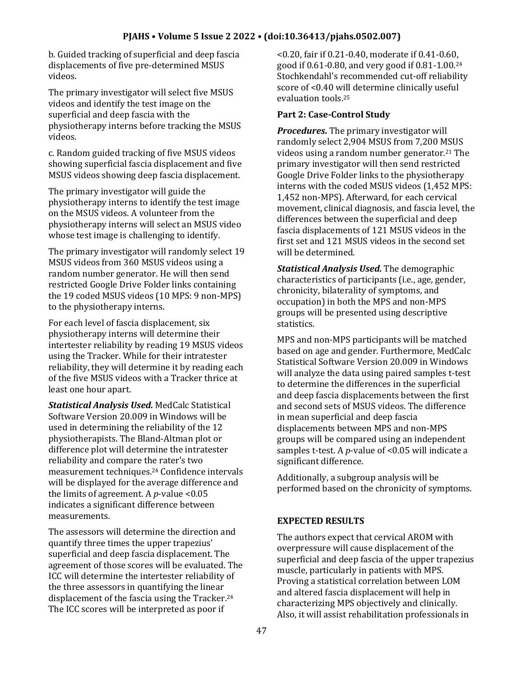b. Guided tracking of superficial and deep fascia displacements of five pre-determined MSUS videos.

The primary investigator will select five MSUS videos and identify the test image on the superficial and deep fascia with the physiotherapy interns before tracking the MSUS videos.

c. Random guided tracking of five MSUS videos showing superficial fascia displacement and five MSUS videos showing deep fascia displacement.

The primary investigator will guide the physiotherapy interns to identify the test image on the MSUS videos. A volunteer from the physiotherapy interns will select an MSUS video whose test image is challenging to identify.

The primary investigator will randomly select 19 MSUS videos from 360 MSUS videos using a random number generator. He will then send restricted Google Drive Folder links containing the 19 coded MSUS videos (10 MPS: 9 non-MPS) to the physiotherapy interns.

For each level of fascia displacement, six physiotherapy interns will determine their intertester reliability by reading 19 MSUS videos using the Tracker. While for their intratester reliability, they will determine it by reading each of the five MSUS videos with a Tracker thrice at least one hour apart.

*Statistical Analysis Used.* MedCalc Statistical Software Version 20.009 in Windows will be used in determining the reliability of the 12 physiotherapists. The Bland-Altman plot or difference plot will determine the intratester reliability and compare the rater's two measurement techniques.<sup>24</sup> Confidence intervals will be displayed for the average difference and the limits of agreement. A *p*-value <0.05 indicates a significant difference between measurements.

The assessors will determine the direction and quantify three times the upper trapezius' superficial and deep fascia displacement. The agreement of those scores will be evaluated. The ICC will determine the intertester reliability of the three assessors in quantifying the linear displacement of the fascia using the Tracker.<sup>24</sup> The ICC scores will be interpreted as poor if

<0.20, fair if 0.21-0.40, moderate if 0.41-0.60, good if 0.61-0.80, and very good if 0.81-1.00.<sup>24</sup> Stochkendahl's recommended cut-off reliability score of <0.40 will determine clinically useful evaluation tools.<sup>25</sup>

# **Part 2: Case-Control Study**

*Procedures.* The primary investigator will randomly select 2,904 MSUS from 7,200 MSUS videos using a random number generator.<sup>21</sup> The primary investigator will then send restricted Google Drive Folder links to the physiotherapy interns with the coded MSUS videos (1,452 MPS: 1,452 non-MPS). Afterward, for each cervical movement, clinical diagnosis, and fascia level, the differences between the superficial and deep fascia displacements of 121 MSUS videos in the first set and 121 MSUS videos in the second set will be determined.

*Statistical Analysis Used.* The demographic characteristics of participants (i.e., age, gender, chronicity, bilaterality of symptoms, and occupation) in both the MPS and non-MPS groups will be presented using descriptive statistics.

MPS and non-MPS participants will be matched based on age and gender. Furthermore, MedCalc Statistical Software Version 20.009 in Windows will analyze the data using paired samples t-test to determine the differences in the superficial and deep fascia displacements between the first and second sets of MSUS videos. The difference in mean superficial and deep fascia displacements between MPS and non-MPS groups will be compared using an independent samples t-test. A *p*-value of <0.05 will indicate a significant difference.

Additionally, a subgroup analysis will be performed based on the chronicity of symptoms.

# **EXPECTED RESULTS**

The authors expect that cervical AROM with overpressure will cause displacement of the superficial and deep fascia of the upper trapezius muscle, particularly in patients with MPS. Proving a statistical correlation between LOM and altered fascia displacement will help in characterizing MPS objectively and clinically. Also, it will assist rehabilitation professionals in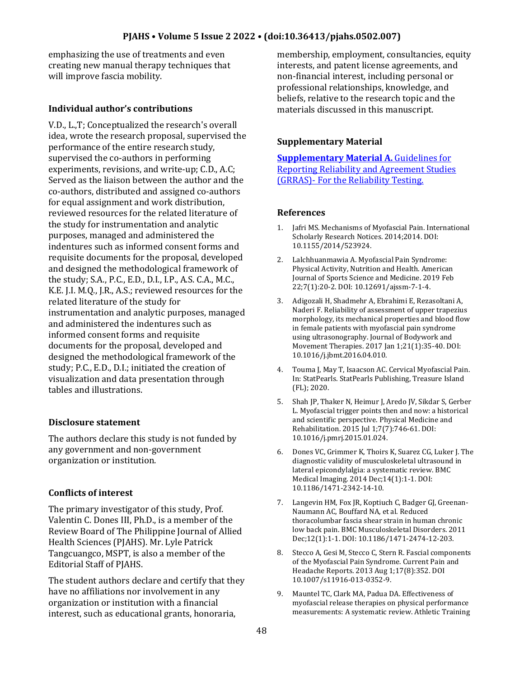emphasizing the use of treatments and even creating new manual therapy techniques that will improve fascia mobility.

# **Individual author's contributions**

V.D., L.,T; Conceptualized the research's overall idea, wrote the research proposal, supervised the performance of the entire research study, supervised the co-authors in performing experiments, revisions, and write-up; C.D., A.C; Served as the liaison between the author and the co-authors, distributed and assigned co-authors for equal assignment and work distribution, reviewed resources for the related literature of the study for instrumentation and analytic purposes, managed and administered the indentures such as informed consent forms and requisite documents for the proposal, developed and designed the methodological framework of the study; S.A., P.C., E.D., D.I., I.P., A.S. C.A., M.C., K.E. J.I. M.Q., J.R., A.S.; reviewed resources for the related literature of the study for instrumentation and analytic purposes, managed and administered the indentures such as informed consent forms and requisite documents for the proposal, developed and designed the methodological framework of the study; P.C., E.D., D.I.; initiated the creation of visualization and data presentation through tables and illustrations.

## **Disclosure statement**

The authors declare this study is not funded by any government and non-government organization or institution.

# **Conflicts of interest**

The primary investigator of this study, Prof. Valentin C. Dones III, Ph.D., is a member of the Review Board of The Philippine Journal of Allied Health Sciences (PJAHS). Mr. Lyle Patrick Tangcuangco, MSPT, is also a member of the Editorial Staff of PJAHS.

The student authors declare and certify that they have no affiliations nor involvement in any organization or institution with a financial interest, such as educational grants, honoraria,

membership, employment, consultancies, equity interests, and patent license agreements, and non-financial interest, including personal or professional relationships, knowledge, and beliefs, relative to the research topic and the materials discussed in this manuscript.

# **Supplementary Material**

**[Supplementary Material A.](https://drive.google.com/file/d/1HkBmpmACXDiSae2cJCauz0oetUl6a39Z/view?usp=sharing)** Guidelines for [Reporting Reliability and Agreement Studies](https://drive.google.com/file/d/1HkBmpmACXDiSae2cJCauz0oetUl6a39Z/view?usp=sharing)  (GRRAS)- [For the Reliability Testing.](https://drive.google.com/file/d/1HkBmpmACXDiSae2cJCauz0oetUl6a39Z/view?usp=sharing)

## **References**

- 1. Jafri MS. Mechanisms of Myofascial Pain. International Scholarly Research Notices. 2014;2014. DOI: 10.1155/2014/523924.
- 2. Lalchhuanmawia A. Myofascial Pain Syndrome: Physical Activity, Nutrition and Health. American Journal of Sports Science and Medicine. 2019 Feb 22;7(1):20-2. DOI: 10.12691/ajssm-7-1-4.
- 3. Adigozali H, Shadmehr A, Ebrahimi E, Rezasoltani A, Naderi F. Reliability of assessment of upper trapezius morphology, its mechanical properties and blood flow in female patients with myofascial pain syndrome using ultrasonography. Journal of Bodywork and Movement Therapies. 2017 Jan 1;21(1):35-40. DOI: 10.1016/j.jbmt.2016.04.010.
- 4. Touma J, May T, Isaacson AC. Cervical Myofascial Pain. In: StatPearls. StatPearls Publishing, Treasure Island (FL); 2020.
- 5. Shah JP, Thaker N, Heimur J, Aredo JV, Sikdar S, Gerber L. Myofascial trigger points then and now: a historical and scientific perspective. Physical Medicine and Rehabilitation. 2015 Jul 1;7(7):746-61. DOI: 10.1016/j.pmrj.2015.01.024.
- 6. Dones VC, Grimmer K, Thoirs K, Suarez CG, Luker J. The diagnostic validity of musculoskeletal ultrasound in lateral epicondylalgia: a systematic review. BMC Medical Imaging. 2014 Dec;14(1):1-1. DOI: 10.1186/1471-2342-14-10.
- 7. Langevin HM, Fox JR, Koptiuch C, Badger GJ, Greenan-Naumann AC, Bouffard NA, et al. Reduced thoracolumbar fascia shear strain in human chronic low back pain. BMC Musculoskeletal Disorders. 2011 Dec;12(1):1-1. DOI: 10.1186/1471-2474-12-203.
- 8. Stecco A, Gesi M, Stecco C, Stern R. Fascial components of the Myofascial Pain Syndrome. Current Pain and Headache Reports. 2013 Aug 1;17(8):352. DOI 10.1007/s11916-013-0352-9.
- 9. Mauntel TC, Clark MA, Padua DA. Effectiveness of myofascial release therapies on physical performance measurements: A systematic review. Athletic Training